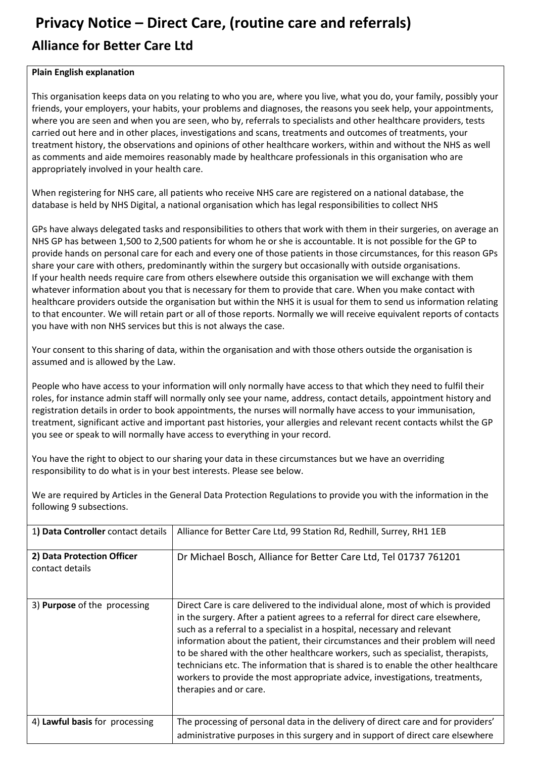## **Privacy Notice – Direct Care, (routine care and referrals) Alliance for Better Care Ltd**

## **Plain English explanation**

This organisation keeps data on you relating to who you are, where you live, what you do, your family, possibly your friends, your employers, your habits, your problems and diagnoses, the reasons you seek help, your appointments, where you are seen and when you are seen, who by, referrals to specialists and other healthcare providers, tests carried out here and in other places, investigations and scans, treatments and outcomes of treatments, your treatment history, the observations and opinions of other healthcare workers, within and without the NHS as well as comments and aide memoires reasonably made by healthcare professionals in this organisation who are appropriately involved in your health care.

When registering for NHS care, all patients who receive NHS care are registered on a national database, the database is held by NHS Digital, a national organisation which has legal responsibilities to collect NHS

GPs have always delegated tasks and responsibilities to others that work with them in their surgeries, on average an NHS GP has between 1,500 to 2,500 patients for whom he or she is accountable. It is not possible for the GP to provide hands on personal care for each and every one of those patients in those circumstances, for this reason GPs share your care with others, predominantly within the surgery but occasionally with outside organisations. If your health needs require care from others elsewhere outside this organisation we will exchange with them whatever information about you that is necessary for them to provide that care. When you make contact with healthcare providers outside the organisation but within the NHS it is usual for them to send us information relating to that encounter. We will retain part or all of those reports. Normally we will receive equivalent reports of contacts you have with non NHS services but this is not always the case.

Your consent to this sharing of data, within the organisation and with those others outside the organisation is assumed and is allowed by the Law.

People who have access to your information will only normally have access to that which they need to fulfil their roles, for instance admin staff will normally only see your name, address, contact details, appointment history and registration details in order to book appointments, the nurses will normally have access to your immunisation, treatment, significant active and important past histories, your allergies and relevant recent contacts whilst the GP you see or speak to will normally have access to everything in your record.

You have the right to object to our sharing your data in these circumstances but we have an overriding responsibility to do what is in your best interests. Please see below.

We are required by Articles in the General Data Protection Regulations to provide you with the information in the following 9 subsections.

| 1) Data Controller contact details            | Alliance for Better Care Ltd, 99 Station Rd, Redhill, Surrey, RH1 1EB                                                                                                                                                                                                                                                                                                                                                                                                                                                                                                                                              |
|-----------------------------------------------|--------------------------------------------------------------------------------------------------------------------------------------------------------------------------------------------------------------------------------------------------------------------------------------------------------------------------------------------------------------------------------------------------------------------------------------------------------------------------------------------------------------------------------------------------------------------------------------------------------------------|
| 2) Data Protection Officer<br>contact details | Dr Michael Bosch, Alliance for Better Care Ltd, Tel 01737 761201                                                                                                                                                                                                                                                                                                                                                                                                                                                                                                                                                   |
| 3) Purpose of the processing                  | Direct Care is care delivered to the individual alone, most of which is provided<br>in the surgery. After a patient agrees to a referral for direct care elsewhere,<br>such as a referral to a specialist in a hospital, necessary and relevant<br>information about the patient, their circumstances and their problem will need<br>to be shared with the other healthcare workers, such as specialist, therapists,<br>technicians etc. The information that is shared is to enable the other healthcare<br>workers to provide the most appropriate advice, investigations, treatments,<br>therapies and or care. |
| 4) Lawful basis for processing                | The processing of personal data in the delivery of direct care and for providers'                                                                                                                                                                                                                                                                                                                                                                                                                                                                                                                                  |
|                                               | administrative purposes in this surgery and in support of direct care elsewhere                                                                                                                                                                                                                                                                                                                                                                                                                                                                                                                                    |